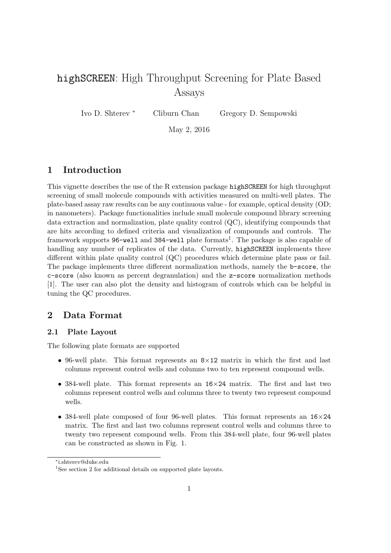# highSCREEN: High Throughput Screening for Plate Based Assays

Ivo D. Shterev <sup>∗</sup> Cliburn Chan Gregory D. Sempowski

May 2, 2016

## 1 Introduction

This vignette describes the use of the R extension package highSCREEN for high throughput screening of small molecule compounds with activities measured on multi-well plates. The plate-based assay raw results can be any continuous value - for example, optical density (OD; in nanometers). Package functionalities include small molecule compound library screening data extraction and normalization, plate quality control (QC), identifying compounds that are hits according to defined criteria and visualization of compounds and controls. The framework supports 96-well and 384-well plate formats<sup>1</sup>. The package is also capable of handling any number of replicates of the data. Currently, highSCREEN implements three different within plate quality control (QC) procedures which determine plate pass or fail. The package implements three different normalization methods, namely the b-score, the c-score (also known as percent degranulation) and the z-score normalization methods [1]. The user can also plot the density and histogram of controls which can be helpful in tuning the QC procedures.

### 2 Data Format

#### 2.1 Plate Layout

The following plate formats are supported

- 96-well plate. This format represents an  $8\times12$  matrix in which the first and last columns represent control wells and columns two to ten represent compound wells.
- 384-well plate. This format represents an 16×24 matrix. The first and last two columns represent control wells and columns three to twenty two represent compound wells.
- 384-well plate composed of four 96-well plates. This format represents an  $16\times24$ matrix. The first and last two columns represent control wells and columns three to twenty two represent compound wells. From this 384-well plate, four 96-well plates can be constructed as shown in Fig. 1.

<sup>∗</sup> i.shterev@duke.edu

<sup>&</sup>lt;sup>1</sup>See section 2 for additional details on supported plate layouts.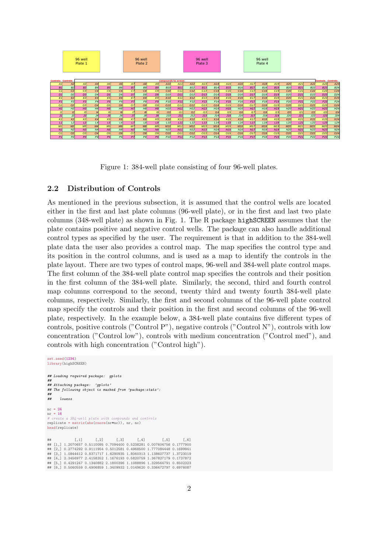

Figure 1: 384-well plate consisting of four 96-well plates.

#### 2.2 Distribution of Controls

As mentioned in the previous subsection, it is assumed that the control wells are located either in the first and last plate columns (96-well plate), or in the first and last two plate columns (348-well plate) as shown in Fig. 1. The R package highSCREEN assumes that the plate contains positive and negative control wells. The package can also handle additional control types as specified by the user. The requirement is that in addition to the 384-well plate data the user also provides a control map. The map specifies the control type and its position in the control columns, and is used as a map to identify the controls in the plate layout. There are two types of control maps, 96-well and 384-well plate control maps. The first column of the 384-well plate control map specifies the controls and their position in the first column of the 384-well plate. Similarly, the second, third and fourth control map columns correspond to the second, twenty third and twenty fourth 384-well plate columns, respectively. Similarly, the first and second columns of the 96-well plate control map specify the controls and their position in the first and second columns of the 96-well plate, respectively. In the example below, a 384-well plate contains five different types of controls, positive controls ("Control P"), negative controls ("Control N"), controls with low concentration ("Control low"), controls with medium concentration ("Control med"), and controls with high concentration ("Control high").

```
set.seed(1234)
library(highSCREEN)
## Loading required package: gplots
##
## Attaching package: 'gplots'
## The following object is masked from 'package:stats':
##
      1.owess
nc = 24nr = 16
# create a 384-well plate with compounds and controls
replicate = matrix(abs(rnorm(nr*nc)), nr, nc)
head(replicate)
## [,1] [,2] [,3] [,4] [,5] [,6]
## [1,] 1.2070657 0.5110095 0.7094400 0.5238281 0.007604756 0.1777900
## [2,] 0.2774292 0.9111954 0.5012581 0.4968500 1.777084448 0.1699941
## [3,] 1.0844412 0.8371717 1.6290935 1.8060313 1.138607737 1.3723019
## [4,] 2.3456977 2.4158352 1.1676193 0.5820759 1.367827179 0.1737872
## [5,] 0.4291247 0.1340882 2.1800396 1.1088896 1.329564791 0.8502323
## [6,] 0.5060559 0.4906859 1.3409932 1.0149620 0.336472797 0.6976087
```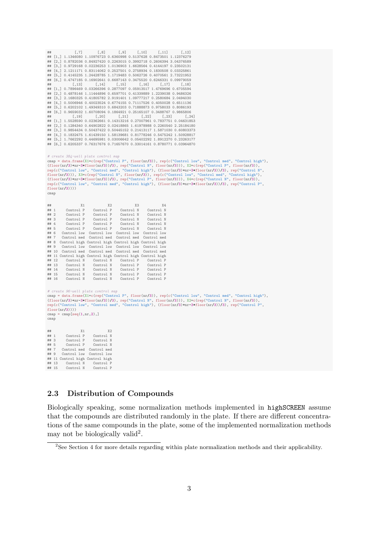```
## [,7] [,8] [,9] [,10] [,11] [,12]
## [1,] 1.1346080 1.10976723 0.6360998 0.5137628 0.8473501 1.12376279
## [2,] 0.8782036 0.84927420 0.2263015 0.3992718 0.2606394 3.04376589
## [3,] 0.9729168 0.02236253 1.0136903 1.6628564 0.4144197 0.23502131
   ## [4,] 2.1211171 0.83114062 0.2527501 0.2758934 0.1830508 0.03325861
## [5,] 0.4145235 1.24428785 1.1719483 0.5062726 0.4070561 2.73221952
## [6,] 0.4747185 0.16902641 0.6687143 0.3475520 0.6246331 0.09979059
## [,13] [,14] [,15] [,16] [,17] [,18]
## [1,] 0.7896469 0.03266396 0.2877097 0.05913517 1.4769696 0.6705594
## [2,] 0.4878146 1.11444896 0.6597701 0.41339889 1.2239038 0.9486326
## [3,] 2.1680325 0.41805782 2.9191401 1.09777217 0.2580684 2.0494030
## [4,] 0.5006946 0.40023524 0.6774155 0.71117526 0.4050028 0.6511136
## [5,] 0.6202102 1.49349310 0.6843203 0.71888873 0.9758033 0.8086193
## [6,] 0.9659032 1.60708094 0.1864921 0.25165107 0.3488767 0.9865806
## [,19] [,20] [,21] [,22] [,23] [,24]
## [1,] 1.5528590 0.02362661 0.14313216 0.27007961 0.7837751 0.04631853
## [2,] 0.1284340 0.64902822 0.02418865 1.61978988 0.2260540 2.25184180
## [3,] 0.9854434 0.50437422 0.50445152 0.21413117 1.5871030 0.60803373
   ## [4,] 0.1832475 1.61439150 1.58139681 0.81778246 0.5475242 1.50928817
## [5,] 1.7662292 0.44695981 0.03006642 0.05402292 1.8912270 0.23263177
## [6,] 0.6205337 0.76317676 0.71657670 0.33014161 0.8780771 0.03964870
# create 384-well plate control map
cmap = data.frame(X1=c(rep("Control P", floor(nr/3)), rep(c("Control low", "Control med", "Control high"),
(floor(nr/3)+nr-3*floor(nr/3))/3), rep("Control N", floor(nr/3))), X2=c(rep("Control P", floor(nr/3)),<br>rep(c("Control low", "Control med", "Control high"), (floor(nr/3)+nr-3*floor(nr/3))/3), rep("Control N",<br>floor(nr/3))),
floor(nr/3))))cmap
## X1 X2 X3 X4
## 1 Control P Control P Control N Control N
## 2 Control P Control P Control N Control N
## 3 Control P Control P Control N Control N
## 4 Control P Control P Control N Control N
## 5 Control P Control P Control N Control N
## 6 Control low Control low Control low Control low
## 7 Control med Control med Control med Control med
## 8 Control high Control high Control high Control high
       Control low Control low Control low Control low
## 10 Control med Control med Control med Control med
## 11 Control high Control high Control high Control high
## 12 Control N Control N Control P Control P
## 13 Control N Control N Control P Control P
## 14 Control N Control N Control P Control P
         Control N Control N Control P Control P Control N Control P Control P
## 16 Control N Control N
# create 96-icmap = data.frame(X1=c(rep("Control P", floor(nr/3)), rep(c("Control low", "Control med", "Control high"),
(floor(nr/3)+nr-3*floor(nr/3))/3), rep("Control N", floor(nr/3))), X2=c(rep("Control N", floor(nr/3)),
rep(c("Control low", "Control med", "Control high"), (floor(nr/3)+nr-3*floor(nr/3))/3), rep("Control P",
floor(nr/3))))map = \text{cmp}[\text{seq}(1,nr,2),]cmap
## X1 X2
## 1 Control P Control N
## 3 Control P Control N
## 5 Control P<br>## 7 Control med
## 7 Control med Control med
       Control low Control low
## 11 Control high Control high
## 13 Control N Control P<br>## 15 Control N Control P
         Control N
```
#### 2.3 Distribution of Compounds

Biologically speaking, some normalization methods implemented in highSCREEN assume that the compounds are distributed randomly in the plate. If there are different concentrations of the same compounds in the plate, some of the implemented normalization methods may not be biologically valid<sup>2</sup>.

<sup>&</sup>lt;sup>2</sup>See Section 4 for more details regarding within plate normalization methods and their applicability.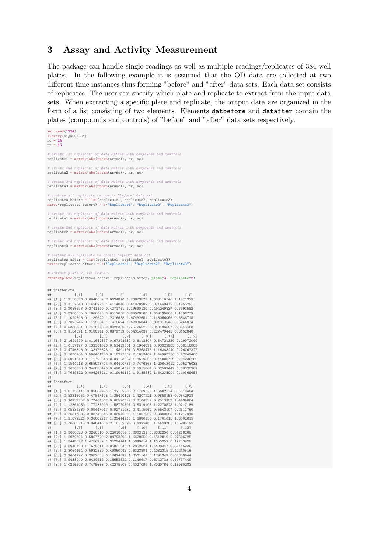#### 3 Assay and Activity Measurement

The package can handle single readings as well as multiple readings/replicates of 384-well plates. In the following example it is assumed that the OD data are collected at two different time instances thus forming "before" and "after" data sets. Each data set consists of replicates. The user can specify which plate and replicate to extract from the input data sets. When extracting a specific plate and replicate, the output data are organized in the form of a list consisting of two elements. Elements datbefore and datafter contain the plates (compounds and controls) of "before" and "after" data sets respectively.

set.seed(1234) library(highSCREEN)  $nc = 24$ nr = 16 # create 1st replicate of data matrix with compounds and controls  $replicate1 = matrix(abs(rnorm(nr+nc))$ , nr, nc) 2nd replicate of data matrix with compounds and controls  $replicate2 = matrix(abs(rnorm(nr*nc))$ , nr, nc) # create 3rd replicate of data matrix with compounds and controls replicate3 = matrix(abs(rnorm(nr\*nc)), nr, nc) # combine all replicate to create "before" data replicates\_before = list(replicate1, replicate2, replicate3) names(replicates\_before) = c("Replicate1", "Replicate2", "Replicate3") f data matrix with compounds and controls  $replicate1 = matrix(abs(rnorm(nrmc))$ , nr, nc) eate 2nd replicate of data matrix with compounds and controls replicate2 = matrix(abs(rnorm(nr\*nc)), nr, nc) # create 3rd replicate of data matrix with compounds and controls  $replicate3 = matrix(abs(rnorm(nrmc))$ , nr, nc) *ibine all replicate to create "after" data set*  $replicates\_after = list(replicate1, replicate2, replicate3)$ names(replicates after) =  $c("Renlicate1". "Renlicate2". "Renlicate3")$ # extract plate 3, replicate 2 extractplate(replicates\_before, replicates\_after, plate=3, replicate=2)  $#$  \$datbefore<br> $#$  [.1] ## [,1] [,2] [,3] [,4] [,5] [,6] ## [1,] 1.2150536 0.6040689 2.0624810 1.20673873 1.038110146 1.1271329 ## [2,] 0.3157640 0.1426293 1.4114046 0.41970989 0.871449472 0.1955291 ## [3,] 0.2055698 0.3741440 0.4071761 3.19590120 0.494249837 0.6391582 EX, CHROSSON CHAITING CHANGE OF ANGELIA CHANGE OF ALSO CONSUMED [4,] 3.3960635 0.1660620 0.6512008 0.84079580 1.309190860 1.1296779 ## [5,] 1.1024646 0.1139629 1.2016658 1.67432651 0.143056066 0.6886715 ## [6,] 0.7893944 0.1155534 1.7970624 1.42836844 0.001313548 0.5944834 ## [7,] 0.5388331 0.7418648 0.8028380 1.75726622 0.848196597 2.8643468 ## [8,] 0.9164891 1.9188941 0.6979752 0.04314039 0.227479443 0.6152848 ## [,7] [,8] [,9] [,10] [,11] [,12] ## [1,] 2.1624690 1.011654377 0.67308682 0.6112307 0.54721330 0.29972049 ## [2,] 1.0137177 0.132361320 0.51439651 0.1904094 0.93329983 0.38118803 ## [3,] 0.4746346 0.133177628 1.14801191 0.8268475 1.16388240 0.26767327 ## [4,] 0.1070204 0.506401780 0.10293639 2.1653462 1.44963736 0.92749466 ## [5,] 0.6021049 0.172793618 0.04123062 1.8519568 0.14006729 0.04230266 ## [6,] 1.1544213 0.655928704 0.64400786 0.7476865 1.20643412 0.05275033 ## [7,] 0.3650888 0.346083490 0.49084092 0.5915064 0.02509449 0.86320262 ## [8,] 0.7659322 0.006265211 0.19069132 1.9185582 1.64235904 0.10369655 ##  $\begin{array}{c}\n \text{***} \\
 \text{**} \\
 \text{*} \\
 \text{**}\n \end{array}$ ## [,1] [,2] [,3] [,4] [,5] [,6] ## [1,] 0.01153115 0.05004926 1.22189865 2.1789535 1.6602134 0.5518484 ## [2,] 0.52816051 0.47547105 1.36490125 1.4207221 0.9658158 0.9542928 ## [3,] 0.26237252 0.77404562 0.06520022 0.3104332 0.7513957 1.4439064 ## [4,] 1.12361059 1.77287949 1.58770807 0.5319105 1.2270525 1.0217189 ## [5,] 0.05532339 0.09447017 0.92751980 0.4115962 0.5543107 0.2311760 ## [6,] 0.75817883 0.08743515 0.08046895 1.1067062 0.3800668 1.1217940 ## [7,] 1.31672226 0.36062217 1.23444910 1.6680156 0.1701018 1.3002615 ## [8,] 0.76800213 0.94641655 2.10159395 0.8925480 1.4429385 1.5986195 ## [,7] [,8] [,9] [,10] [,11] [,12] ## [1,] 0.3600328 0.3260510 0.26010014 0.3803121 0.3632250 0.64218268 ## [2,] 1.2979704 0.5867729 2.04793696 1.6628550 0.4512819 2.22606725 ## [3,] 1.3448522 1.4756239 1.35294141 1.5699014 1.1655252 0.17283428 ## [4,] 0.8948498 1.7675311 0.05831046 1.2859024 1.4498347 0.54745230 ## [5,] 2.3064164 0.5932569 0.49850048 0.6323894 0.4032315 2.40240516 ## [6,] 0.9404297 0.2082568 0.12624092 1.3501161 0.1291349 0.02339644 ## [7,] 0.9438240 0.9430414 0.18652522 0.1146617 0.6742733 0.69777449 ## [8,] 1.0216503 0.7475638 0.40275905 0.4027099 1.8020764 0.16960283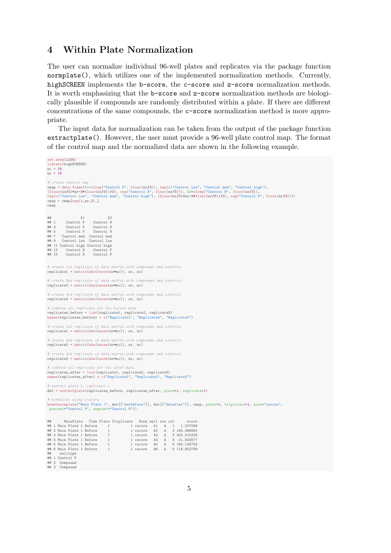#### 4 Within Plate Normalization

The user can normalize individual 96-well plates and replicates via the package function normplate(), which utilizes one of the implemented normalization methods. Currently, highSCREEN implements the b-score, the c-score and z-score normalization methods. It is worth emphasizing that the b-score and z-score normalization methods are biologically plausible if compounds are randomly distributed within a plate. If there are different concentrations of the same compounds, the c-score normalization method is more appropriate.

The input data for normalization can be taken from the output of the package function extractplate(). However, the user must provide a 96-well plate control map. The format of the control map and the normalized data are shown in the following example.

```
set.seed(1234)
library(highSCREEN)
nc = 24nr = 16
# create control map
cmap = data.frame(X1=c(rep("Control P", floor(nr/3)), rep(c("Control low", "Control med", "Control high"),<br>(floor(nr/3)+nr-3*floor(nr/3))/3), rep("Control N", floor(nr/3))), X2=c(rep("Control N", floor(nr/3)),<br>rep(c("Contr
map = \text{cmp}[\text{seq}(1,nr,2),]cmap
## X1 X2
## 1 Control P Control N
## 3 Control P Control N<br>## 5 Control P Control N
## 5 Control P Control N
## 7 Control med Control med
## 9 Control low Control low
## 11 Control high Control high
## 13 Control N Control P
## 15 Control N Control P
# create 1st replicate of data matrix with compounds and controls
replicate1 = matrix(abs(rnorm(nr*nc)), nr, nc)
      eate 2nd replicate of data matrix with compounds and controls
replicate2 = matrix(abs(rnorm(nr+nc)), nr, nc)
       ate 3rd replicate of data matrix with compounds and controls
replicate3 = matrix(abs(norm(nr*nc)), nr, nc)
      mbine all replicate for the before data
replicates_before = list(replicate1, replicate2, replicate3)
names(replicates_before) = c("Replicate1", "Replicate2", "Replicate3")
    reate 1st replicate of data matrix with compounds and controls
replicate1 = matrix(abs(rnorm(nr+nc)), nr, nc)
# create 2nd replicate of data matrix with compounds and controls
replicate2 = matrix(abs(rnorm(nr*nc)), nr, nc)
       eate 3rd replicate of data matrix with compo
replicate3 = matrix(abs(norm(nr*nc)), nr, nc)
# combine all replicate for the after data
replicates_after = list(replicate1, replicate2, replicate3)
names(replicates_after) = c("Replicate1", "Replicate2", "Replicate3")
# extract plate 1, replicate 1
dat = extractplate(replicates_before, replicates_after, plate=1, replicate=1)
# normalize using c-score
head(normplate("Main Plate 1", dat[["datbefore"]], dat[["datafter"]], cmap, plate=1, triplicate=1, norm="cscore",
poscont="Control P", negcont="Control N"))
## MainPlate Time Plate Triplicate Norm well row col<br>
## 1 Main Plate 1 Before 1 1 cscore A1 A 1 1.207066<br>
## 2 Main Plate 1 Before 1 1 cscore A2 A 2 165.388956<br>
## 3 Main Plate 1 Before 1 1 cscore A3 A 3 402.215226<br>
## 5 
## welltype
## 1 Control P
## 2 Compound
## 3 Compound
```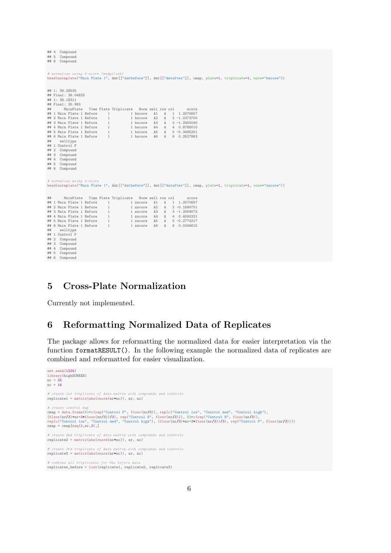|      |                    | $***$ $\sim$ $\sim$ $\sim$ $\sim$ $\sim$ $\sim$ $\sim$                                                             |  |              |                       |          |                   |              |  |  |                 |  |  |  |  |
|------|--------------------|--------------------------------------------------------------------------------------------------------------------|--|--------------|-----------------------|----------|-------------------|--------------|--|--|-----------------|--|--|--|--|
| ## 5 |                    | Compound                                                                                                           |  |              |                       |          |                   |              |  |  |                 |  |  |  |  |
| ## 6 |                    | Compound                                                                                                           |  |              |                       |          |                   |              |  |  |                 |  |  |  |  |
|      |                    |                                                                                                                    |  |              |                       |          |                   |              |  |  |                 |  |  |  |  |
|      |                    |                                                                                                                    |  |              |                       |          |                   |              |  |  |                 |  |  |  |  |
|      |                    | # normalize using b-score (medpolish)                                                                              |  |              |                       |          |                   |              |  |  |                 |  |  |  |  |
|      |                    | head(normplate("Main Plate 1", dat[["datbefore"]], dat[["datafter"]], cmap, plate=1, triplicate=1, norm="bscore")) |  |              |                       |          |                   |              |  |  |                 |  |  |  |  |
|      |                    |                                                                                                                    |  |              |                       |          |                   |              |  |  |                 |  |  |  |  |
|      |                    |                                                                                                                    |  |              |                       |          |                   |              |  |  |                 |  |  |  |  |
|      | ## 1: 36.28535     |                                                                                                                    |  |              |                       |          |                   |              |  |  |                 |  |  |  |  |
|      | ## Final: 36.04823 |                                                                                                                    |  |              |                       |          |                   |              |  |  |                 |  |  |  |  |
|      | ## 1: 36.18311     |                                                                                                                    |  |              |                       |          |                   |              |  |  |                 |  |  |  |  |
|      | ## Final: 35.983   |                                                                                                                    |  |              |                       |          |                   |              |  |  |                 |  |  |  |  |
| ##   |                    | MainPlate                                                                                                          |  |              | Time Plate Triplicate |          | Norm well row col |              |  |  | score           |  |  |  |  |
|      |                    | ## 1 Main Plate 1 Before                                                                                           |  | $\mathbf{1}$ |                       | 1 bscore | A1                | Α            |  |  | 1 1.2070657     |  |  |  |  |
|      |                    | ## 2 Main Plate 1 Before                                                                                           |  | $\mathbf{1}$ |                       | 1 bscore | A2                | $\mathbb{A}$ |  |  | $2 - 1.0373700$ |  |  |  |  |
|      |                    |                                                                                                                    |  | $\mathbf{1}$ |                       |          |                   |              |  |  |                 |  |  |  |  |
|      |                    | ## 3 Main Plate 1 Before                                                                                           |  |              |                       | 1 bscore | A <sub>3</sub>    | $\mathbf{A}$ |  |  | $3 - 1.2455040$ |  |  |  |  |
|      |                    | ## 4 Main Plate 1 Before                                                                                           |  | $\mathbf{1}$ |                       | 1 bscore | A4                | $\mathbf{A}$ |  |  | 4 0.8786010     |  |  |  |  |
|      |                    | ## 5 Main Plate 1 Before                                                                                           |  | $\mathbf{1}$ |                       | 1 bscore | A <sub>5</sub>    |              |  |  | A 5-0.3495251   |  |  |  |  |
|      |                    | ## 6 Main Plate 1 Before                                                                                           |  | $\mathbf{1}$ |                       | 1 bscore | A6                | A            |  |  | 6 0.2527863     |  |  |  |  |
| ##   |                    | welltype                                                                                                           |  |              |                       |          |                   |              |  |  |                 |  |  |  |  |
|      |                    | ## 1 Control P                                                                                                     |  |              |                       |          |                   |              |  |  |                 |  |  |  |  |
| ## 2 |                    | Compound                                                                                                           |  |              |                       |          |                   |              |  |  |                 |  |  |  |  |
| ## 3 |                    | Compound                                                                                                           |  |              |                       |          |                   |              |  |  |                 |  |  |  |  |
| ## 4 |                    | Compound                                                                                                           |  |              |                       |          |                   |              |  |  |                 |  |  |  |  |
| ## 5 |                    | Compound                                                                                                           |  |              |                       |          |                   |              |  |  |                 |  |  |  |  |
| ## 6 |                    | Compound                                                                                                           |  |              |                       |          |                   |              |  |  |                 |  |  |  |  |
|      |                    |                                                                                                                    |  |              |                       |          |                   |              |  |  |                 |  |  |  |  |
|      |                    |                                                                                                                    |  |              |                       |          |                   |              |  |  |                 |  |  |  |  |
|      |                    | # normalize using z-score                                                                                          |  |              |                       |          |                   |              |  |  |                 |  |  |  |  |
|      |                    | head(normplate("Main Plate 1", dat[["datbefore"]], dat[["datafter"]], cmap, plate=1, triplicate=1, norm="zscore")) |  |              |                       |          |                   |              |  |  |                 |  |  |  |  |
|      |                    |                                                                                                                    |  |              |                       |          |                   |              |  |  |                 |  |  |  |  |
|      |                    |                                                                                                                    |  |              |                       |          |                   |              |  |  |                 |  |  |  |  |
| ##   |                    | MainPlate                                                                                                          |  |              | Time Plate Triplicate |          | Norm well row col |              |  |  | score           |  |  |  |  |
|      |                    | ## 1 Main Plate 1 Before                                                                                           |  | $\mathbf{1}$ |                       | 1 zscore | A1                | A            |  |  | 1 1.2070657     |  |  |  |  |
|      |                    | ## 2 Main Plate 1 Before                                                                                           |  | $\mathbf{1}$ |                       | 1 zscore | A2                | A            |  |  | $2 -0.1690751$  |  |  |  |  |
|      |                    | ## 3 Main Plate 1 Before                                                                                           |  |              |                       |          | A <sub>3</sub>    |              |  |  |                 |  |  |  |  |
|      |                    |                                                                                                                    |  | 1            |                       | 1 zscore |                   | A            |  |  | $3 - 1.2059072$ |  |  |  |  |
|      |                    | ## 4 Main Plate 1 Before                                                                                           |  | $\mathbf{1}$ |                       | 1 zscore | A4                | A            |  |  | 4 0.4590321     |  |  |  |  |
|      |                    | ## 5 Main Plate 1 Before                                                                                           |  | $\mathbf{1}$ |                       | 1 zscore | A5                |              |  |  | A 5 -0.2774217  |  |  |  |  |
|      |                    | ## 6 Main Plate 1 Before                                                                                           |  | $\mathbf{1}$ |                       | 1 zscore | A <sub>6</sub>    | $\mathbf{A}$ |  |  | 6 0.0346615     |  |  |  |  |
| ##   |                    | welltype                                                                                                           |  |              |                       |          |                   |              |  |  |                 |  |  |  |  |
|      |                    | ## 1 Control P                                                                                                     |  |              |                       |          |                   |              |  |  |                 |  |  |  |  |
| ## 2 |                    | Compound                                                                                                           |  |              |                       |          |                   |              |  |  |                 |  |  |  |  |
| ## 3 |                    | Compound                                                                                                           |  |              |                       |          |                   |              |  |  |                 |  |  |  |  |
| ## 4 |                    | Compound                                                                                                           |  |              |                       |          |                   |              |  |  |                 |  |  |  |  |
| ## 5 |                    | Compound                                                                                                           |  |              |                       |          |                   |              |  |  |                 |  |  |  |  |
| ## 6 |                    | Compound                                                                                                           |  |              |                       |          |                   |              |  |  |                 |  |  |  |  |
|      |                    |                                                                                                                    |  |              |                       |          |                   |              |  |  |                 |  |  |  |  |

# 5 Cross-Plate Normalization

Currently not implemented.

 $\overline{a}$  and  $\overline{a}$ 

# 6 Reformatting Normalized Data of Replicates

The package allows for reformatting the normalized data for easier interpretation via the function formatRESULT(). In the following example the normalized data of replicates are combined and reformatted for easier visualization.

```
set.seed(1234)
library(highSCREEN)
nc = 24
nr = 16
# create 1st triplicate of data matrix with compounds and controls
replicate1 = matrix(abs(rnorm(nr*nc)), nr, nc)
# create control map<br>cmap = data.frame(X1=c(rep("Control P", floor(nr/3)), rep(c("Control low", "Control med", "Control high"),<br>(floor(nr/3)+nr-3*floor(nr/3))/3), rep("Control N", floor(nr/3))), X2=c(rep("Control N", floor
# create 2nd triplicate of data matrix with compounds and controls
replicate2 = matrix(abs(rnorm(nr*nc)), nr, nc)
# create 3rd triplicate of data matrix with compounds and controls
replicate3 = matrix(abs(rnorm(nr*nc)), nr, nc)
# combine all triplicates for the before data
replicates_before = list(replicate1, replicate2, replicate3)
```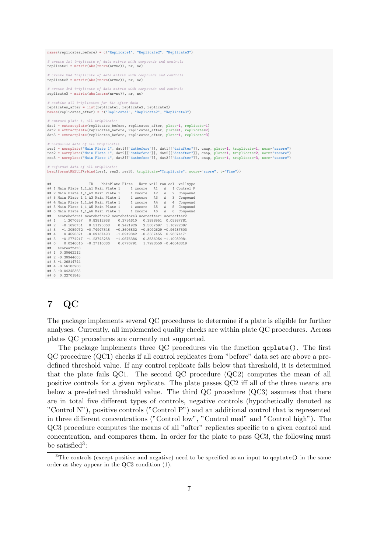```
names(replicates before) = c("Replicate1", "Replicate2", "Replicate3")
# create 1st triplicate of data matrix with compounds and controls
replicate1 = matrix(abs(rnorm(nr*nc)), nr, nc)
# create 2nd triplicate of data matrix with compounds and controls
replicate2 = matrix(abs(rnorm(nr*nc)), nr, nc)
     # create 3rd triplicate of data matrix with compounds and controls
replicate3 = matrix(abs(rnorm(nr*nc)), nr, nc)
     ombine all triplicates for the after data
replicates_after = list(replicate1, replicate2, replicate3)
   n<br>mes(replicates_after) = c("Replicate1", "Replicate2", "Replicate3")
# extract plate 1, all triplicates
dat1 = extractplate(replicates_before, replicates_after, plate=1, replicate=1)
dat2 = extractplate(replicates_before, replicates_after, plate=1, replicate=2)
dat3 = extractplate(replicates_before, replicates_after, plate=1, replicate=3)
    ormalize data of all triplicate
res1 = normplate("Main Plate 1", dat1[["datbefore"]], dat1[["datafter"]], cmap, plate=1, triplicate=1, norm="zscore")<br>res2 = normplate("Main Plate 1", dat2[["datbefore"]], dat2[["datafter"]], cmap, plate=1, triplicate=2, n
res3 = normplate("Main Plate 1", dat3[["datbefore"]], dat3[["datafter"]], cmap, plate=1, triplicate=3, norm="zscore")
# reformat data of all triplicates
head(formatRESULT(rbind(res1, res2, res3), triplicate="Triplicate", score="score", t="Time"))
## ID MainPlate Plate Norm well row col welltype
                                              ## 1 Main Plate 1_1_A1 Main Plate 1 1 zscore A1 A 1 Control P
## 2 Main Plate 1\_1\_A2 Main Plate 1
## 3 Main Plate 1_1_A3 Main Plate 1 1 zscore A3 A 3 Compound
## 4 Main Plate 1\overline{1} A4 Main Plate 1
## 5 Main Plate 1_1_A5 Main Plate 1 1 zscore A5 A 5 Compound
## 6 Main Plate 1_1_A6 Main Plate 1<br># scorebefore1 scorebefore2 score
    ## scorebefore1 scorebefore2 scorebefore3 scoreafter1 scoreafter2
                                       ## 1 1.2070657 0.83812938 0.3734610 0.3898951 0.05987781
\begin{array}{cccccc}\n \text{***} & 1 & 1.2070657 & 0.83812938 \\
 \text{***} & 2 & -0.1690751 & 0.51125068 \\
 \text{***} & -1.2059072 & -0.74947348\n \end{array}## 3 -1.2059072 -0.74947348 -0.3606832 -0.5092629 -0.96487503
                                         4.0919842 -0.3357455 0.26074171<br>-1.0676386 0.3536054 -1.10089981
## 5 -0.2774217 -1.23745258 -1.0676386 0.3536054 -1.10089981
## 6 0.0346615 -0.37110086 0.6776791 1.7928550 -0.46648819
## scoreafter3
\# 1 0.30662212
## 2 -0.30944605
## 3 -1.26814744
## 4 -0.56183908
## 5 -0.04345365
## 6 0.22701845
```
# 7 QC

The package implements several QC procedures to determine if a plate is eligible for further analyses. Currently, all implemented quality checks are within plate QC procedures. Across plates QC procedures are currently not supported.

The package implements three QC procedures via the function qcplate(). The first QC procedure (QC1) checks if all control replicates from "before" data set are above a predefined threshold value. If any control replicate falls below that threshold, it is determined that the plate fails QC1. The second QC procedure (QC2) computes the mean of all positive controls for a given replicate. The plate passes QC2 iff all of the three means are below a pre-defined threshold value. The third QC procedure (QC3) assumes that there are in total five different types of controls, negative controls (hypothetically denoted as "Control N"), positive controls ("Control P") and an additional control that is represented in three different concentrations ("Control low", "Control med" and "Control high"). The QC3 procedure computes the means of all "after" replicates specific to a given control and concentration, and compares them. In order for the plate to pass QC3, the following must be satisfied<sup>3</sup>:

 $3$ The controls (except positive and negative) need to be specified as an input to  $q$ cplate() in the same order as they appear in the QC3 condition (1).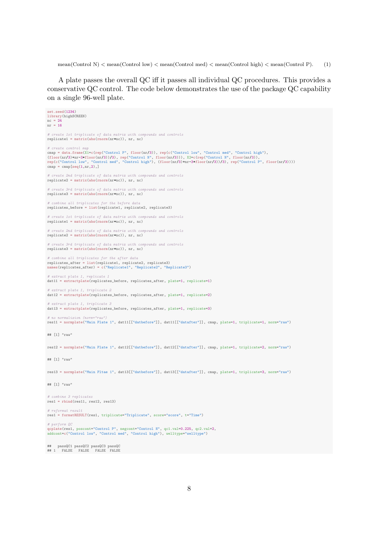mean(Control N)  $\leq$  mean(Control low)  $\leq$  mean(Control med)  $\leq$  mean(Control high)  $\leq$  mean(Control P). (1)

A plate passes the overall QC iff it passes all individual QC procedures. This provides a conservative QC control. The code below demonstrates the use of the package QC capability on a single 96-well plate.

set.seed(1234) library(highSCREEN)  $nc = 24$  $nr = 16$ # create 1st triplicate of data matrix with compounds and controls replicate1 = matrix(abs(rnorm(nr\*nc)), nr, nc) # create control  $\mu$ cmap = data.frame(X1=c(rep("Control P", floor(nr/3)), rep(c("Control low", "Control med", "Control high"),<br>(floor(nr/3)+nr-3\*floor(nr/3))/3), rep("Control N", floor(nr/3))), X2=c(rep("Control N", floor(nr/3)),<br>rep(c("Contr  $map = \text{map}[\text{seq}(1,nr,2),]$ # create 2nd triplicate of data matrix with compounds and controls replicate2 = matrix(abs(rnorm(nr\*nc)), nr, nc) # create 3rd triplicate of data matrix with compounds and controls replicate3 = matrix(abs(rnorm(nr\*nc)), nr, nc) # combine all triplicates for the before data replicates before = list(replicate1, replicate2, replicate3) # create 1st triplicate of data matrix with compounds and controls replicate1 = matrix(abs(rnorm(nr\*nc)), nr, nc) eate 2nd triplicate of data matrix with compounds and controls  $replaced = matrix(abs(rnorm(nr+nc))$ , nr, nc) # create 3rd triplicate of data matrix with compounds and controls replicate3 = matrix(abs(rnorm(nr\*nc)), nr, nc) # combine all triplicates for the after data<br>replicates\_after = list(replicate1, replicate2, replicate3)<br>names(replicates\_after) = c("Replicate1", "Replicate2", "Replicate3") extract plate 1, replicate 1 dat11 = extractplate(replicates\_before, replicates\_after, plate=1, replicate=1) # extract plate 1, triplicate 2 dat12 = extractplate(replicates\_before, replicates\_after, plate=1, replicate=2) # extract plate 1, triplicate 3 dat13 = extractplate(replicates\_before, replicates\_after, plate=1, replicate=3) normalizion (norm res11 = normplate("Main Plate 1", dat11[["datbefore"]], dat11[["datafter"]], cmap, plate=1, triplicate=1, norm="raw") ## [1] "raw" res12 = normplate("Main Plate 1", dat12[["datbefore"]], dat12[["datafter"]], cmap, plate=1, triplicate=2, norm="raw") ## [1] "raw" res13 = normplate("Main Pltae 1", dat13[["datbefore"]], dat13[["datafter"]], cmap, plate=1, triplicate=3, norm="raw") ## [1] "raw" # combine 3 replicates res1 = rbind(res11, res12, res13) # reformat result res1 = formatRESULT(res1, triplicate="Triplicate", score="score", t="Time") # perform QC qcplate(res1, poscont="Control P", negcont="Control N", qc1.val=0.225, qc2.val=2, addcont=c("Control low", "Control med", "Control high"), welltype="welltype") ## passQC1 passQC2 passQC3 passQC ## 1 FALSE FALSE FALSE FALSE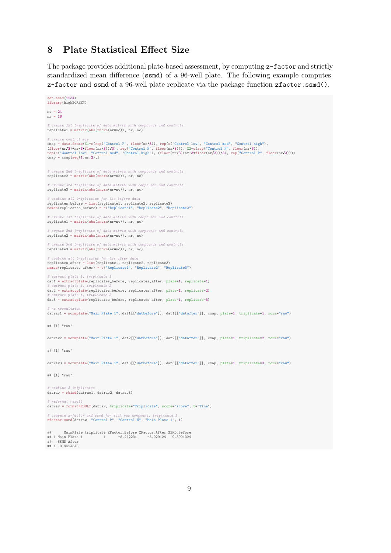# 8 Plate Statistical Effect Size

The package provides additional plate-based assessment, by computing z-factor and strictly standardized mean difference (ssmd) of a 96-well plate. The following example computes z-factor and ssmd of a 96-well plate replicate via the package function zfactor.ssmd().

```
set.seed(1234)
library(highSCREEN)
nc = 24nr = 16
# create 1st triplicate of data matrix with compounds and controls
replicate1 = matrix(abs(rnorm(nr*nc)), nr, nc)
# create control map
cmap = data.frame(X1=c(rep("Control P", floor(nr/3)), rep(c("Control low", "Control med", "Control high"),<br>(floor(nr/3)+nr-3*floor(nr/3))/3), rep("Control N", floor(nr/3))), X2=c(rep("Control N", floor(nr/3)),<br>rep(c("Contr
cmap = \text{map}[\text{seq}(1,nr,2),]# create 2nd triplicate of data matrix with compounds and controls
replicate2 = matrix(abs(rnorm(nr*nc)), nr, nc)
# create 3rd triplicate of data matrix with compounds and controls
replicate3 = matrix(abs(rnorm(nr*nc)), nr, nc)
    ombine all triplicates for the before data
replicates_before = list(replicate1, replicate2, replicate3)
names(replicates_before) = c("Replicate1", "Replicate2", "Replicate3")
# create 1st triplicate of data matrix with compounds and controls
replicate1 = matrix(abs(rnorm(nr*nc)), nr, nc)
# create 2nd triplicate of data matrix with compounds and controls
replicate2 = matrix(abs(rnorm(nr*nc)), nr, nc)
# create 3rd triplicate of data matrix with compounds and controls
replicate3 = matrix(abs(rnorm(nr*nc)), nr, nc)
      bine all triplicates for the after
replicates_after = list(replicate1, replicate2, replicate3)
names(replicates_after) = c("Replicate1", "Replicate2", "Replicate3")
# extract plate 1, triplicate 1
dat1 = extractplate(replicates_before, replicates_after, plate=1, replicate=1)
  extract plate 1,
dat2 = extractplate(replicates_before, replicates_after, plate=1, replicate=2)
# extract plate 1, triplicate 3
dat3 = extractplate(replicates_before, replicates_after, plate=1, replicate=3)
# no normalizio
datraw1 = normplate("Main Plate 1", dat1[["datbefore"]], dat1[["datafter"]], cmap, plate=1, triplicate=1, norm="raw")
## [1] "raw"
datraw2 = normplate("Main Plate 1", dat2[["datbefore"]], dat2[["datafter"]], cmap, plate=1, triplicate=2, norm="raw")
## [1] "raw"
datraw3 = normplate("Main Pltae 1", dat3[["datbefore"]], dat3[["datafter"]], cmap, plate=1, triplicate=3, norm="raw")
## [1] "raw"
# combine 3 triplicates
datraw = rbind(datraw1, datraw2, datraw3)
# reformat result
datraw = formatRESULT(datraw, triplicate="Triplicate", score="score", t="Time")
# compute z-factor and ssmd for each raw compound, triplicate 1
zfactor.ssmd(datraw, "Control P", "Control N", "Main Plate 1", 1)
## MainPlate triplicate ZFactor_Before ZFactor_After SSMD_Before
## 1 Main Plate 1 1 -8.242231 -3.029124 0.3901324
## SSMD_After
\frac{35}{244} 1 -0.9424345
```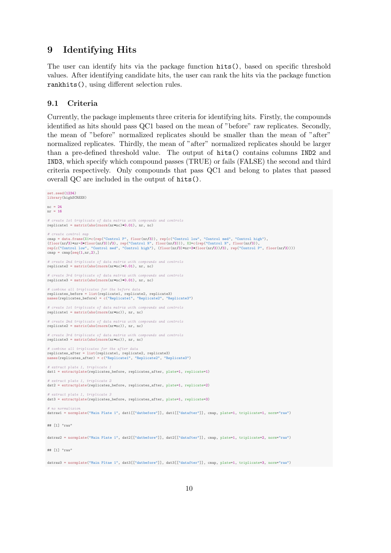### 9 Identifying Hits

The user can identify hits via the package function hits(), based on specific threshold values. After identifying candidate hits, the user can rank the hits via the package function rankhits(), using different selection rules.

#### 9.1 Criteria

Currently, the package implements three criteria for identifying hits. Firstly, the compounds identified as hits should pass QC1 based on the mean of "before" raw replicates. Secondly, the mean of "before" normalized replicates should be smaller than the mean of "after" normalized replicates. Thirdly, the mean of "after" normalized replicates should be larger than a pre-defined threshold value. The output of hits() contains columns IND2 and IND3, which specify which compound passes (TRUE) or fails (FALSE) the second and third criteria respectively. Only compounds that pass QC1 and belong to plates that passed overall QC are included in the output of hits().

```
set.seed(1234)
library(highSCREEN)
nc = 24nr = 16
# create 1st triplicate of data matrix with compounds and controls
replicate1 = matrix(abs(rnorm(nrmc)*0.01), nr, nc)# create control map
cmap = data.frame(X1=c(rep("Control P", floor(nr/3)), rep(c("Control low", "Control med", "Control high"),<br>(floor(nr/3)+nr-3*floor(nr/3))/3), rep("Control N", floor(nr/3))), X2=c(rep("Control N", floor(nr/3)),<br>rep(c("Contr
cmap = \text{map}[\text{seq}(1,nr,2),]# create 2nd triplicate of data matrix with compounds and controls
replicate2 = matrix(abs(rnorm(nrmc)*(0.01), nr, nc)# create 3rd triplicate of data matrix with compounds and controls
replicate3 = matrix(abs(rnorm(nrmc)*(0.01), nr, nc)# combine all triplicates for the before data
replicates_before = list(replicate1, replicate2, replicate3)
names(replicates_before) = c("Replicate1", "Replicate2", "Replicate3")
# create 1st triplicate of data matrix with compounds and controls
replicate1 = matrix(abs(rnorm(nr*nc)), nr, nc)
# create 2nd triplicate of data matrix with compounds and controls
replicate2 = matrix(abs(rnorm(nr*nc)), nr, nc)
# create 3rd triplicate of data matrix with compounds and controls
replicate3 = matrix(abs(rnorm(nr*nc)), nr, nc)
# combine all triplicates for the after data
replicates_after = list(replicate1, replicate2, replicate3)
names(replicates_after) = c("Replicate1", "Replicate2", "Replicate3")
  extract plate 1, triplicate
dat1 = extractplate(replicates_before, replicates_after, plate=1, replicate=1)
# extract plate 1, triplicate 2
dat2 = extractplate(replicates_before, replicates_after, plate=1, replicate=2)
  extract plate 1, triplicate 3
dat3 = extractplate(replicates_before, replicates_after, plate=1, replicate=3)
 # no normalizion
datraw1 = normplate("Main Plate 1", dat1[["datbefore"]], dat1[["datafter"]], cmap, plate=1, triplicate=1, norm="raw")
## [1] "raw"
datraw2 = normplate("Main Plate 1", dat2[["datbefore"]], dat2[["datafter"]], cmap, plate=1, triplicate=2, norm="raw")
## [1] "raw"
datraw3 = normplate("Main Pltae 1", dat3[["datbefore"]], dat3[["datafter"]], cmap, plate=1, triplicate=3, norm="raw")
```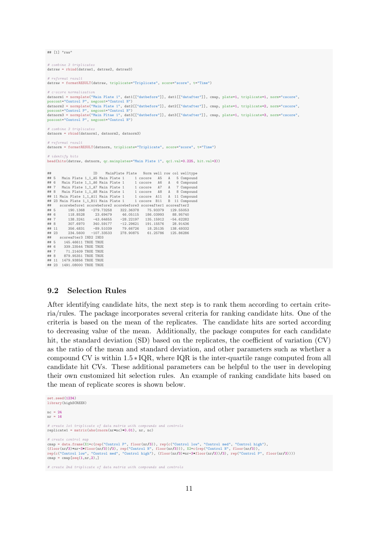## [1] "raw"

# combine 3 triplicates datraw = rbind(datraw1, datraw2, datraw3) # reformat result datraw = formatRESULT(datraw, triplicate="Triplicate", score="score", t="Time") # c-score normalization datnorm1 = normplate("Main Plate 1", dat1[["datbefore"]], dat1[["datafter"]], cmap, plate=1, triplicate=1, norm="cscore", poscont="Control P", negcont="Control N")<br>datnorm2 = normplate("Main Plate 1", dat2[["datbefore"]], dat2[["datafter"]], cmap, plate=1, triplicate=2, norm="cscore",<br>poscont="Control P", negcont="Control N") datnorm3 = normplate("Main Pltae 1", dat3[["datbefore"]], dat3[["datafter"]], cmap, plate=1, triplicate=3, norm="cscore", poscont="Control P", negcont="Control N") # combine 3 triplicates datnorm = rbind(datnorm1, datnorm2, datnorm3) # reformat result datnorm = formatRESULT(datnorm, triplicate="Triplicate", score="score", t="Time") # identify hits head(hits(datraw, datnorm, qc.mainplates="Main Plate 1", qc1.val=0.225, hit.val=3)) ## ID MainPlate Plate Norm well row col welltype ## 5 Main Plate 1\_1\_A5 Main Plate 1 1 cscore A5 A 5 Compound \*\*\* 6 Main Plate 1\_1\_A6 Main Plate 1 1 cscore A6 A 6 Compound<br>## 6 Main Plate 1\_1\_A6 Main Plate 1 1 cscore A6 A 6 Compound<br>## 8 Main Plate 1\_1\_A8 Main Plate 1 1 cscore A8 A 8 Compound ## 7 Main Plate 1\_1\_A7 Main Plate 1 1 cscore A7 A 7 Compound ## 8 Main Plate 1\_1\_A8 Main Plate 1 1 cscore A8 A 8 Compound ## 11 Main Plate 1\_1\_A11 Main Plate 1 1 cscore A11 A 11 Compound  $#$  23 Main Plate  $1_1$ <sub>-</sub>B11 Main Plate 1 ## scorebefore1 scorebefore2 scorebefore3 scoreafter1 scoreafter2 ## 5 190.1368 -279.73258 322.36378 75.93379 129.55053 ## 6 118.8528 23.69479 46.05115 186.03993 88.95740 ## 7 138.3241 -43.64655 -28.22197 135.15912 -54.62282 ## 8 307.6970 340.59177 -12.29621 191.15576 28.91436 ## 11 356.4831 -89.51039 79.66726 18.25135 138.49332 ## 23 234.5600 -107.33533 278.90875 61.25786 125.86286 ## scoreafter3 IND2 IND3<br>## 5 145.46611 TRUE TRUE ## 5 145.46611 TRUE TRUE 339.23544 TRUE TRUE ## 7 71.21409 TRUE TRUE<br>## 8 879 95351 TRUE TRUE 879.95351 TRUE TRUE ## 11 1479.93856 TRUE TRUE ## 23 1491.08000 TRUE TRUE

#### 9.2 Selection Rules

After identifying candidate hits, the next step is to rank them according to certain criteria/rules. The package incorporates several criteria for ranking candidate hits. One of the criteria is based on the mean of the replicates. The candidate hits are sorted according to decreasing value of the mean. Additionally, the package computes for each candidate hit, the standard deviation (SD) based on the replicates, the coefficient of variation (CV) as the ratio of the mean and standard deviation, and other parameters such as whether a compound CV is within 1.5 ∗ IQR, where IQR is the inter-quartile range computed from all candidate hit CVs. These additional parameters can be helpful to the user in developing their own customized hit selection rules. An example of ranking candidate hits based on the mean of replicate scores is shown below.

```
set.seed(1234)
library(highSCREEN)
nc = 24nr = 16
# create 1st triplicate of data matrix with compounds and controls
replicate1 = matrix(abs(rnorm(nr*nc)*0.01), nr, nc)# create control map
cmap = data.frame(X1=c(rep("Control P", floor(nr/3)), rep(c("Control low", "Control med", "Control high"),<br>(floor(nr/3)+nr-3*floor(nr/3))/3), rep("Control N", floor(nr/3))), X2=c(rep("Control N", floor(nr/3)),<br>rep(c("Contr
cmap = cmap[seq(1,nr,2),]
```
# create 2nd triplicate of data matrix with compounds and controls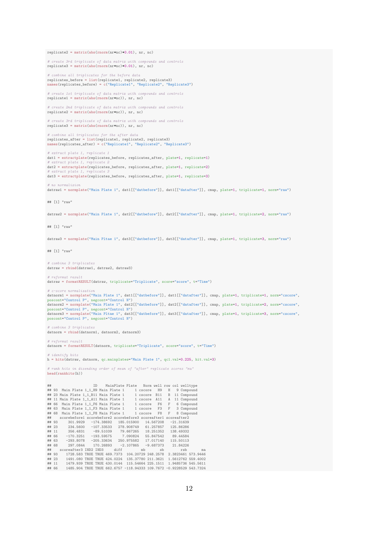$replaced = matrix(abs(rnorm(nr+nc)*0.01), nr, nc)$ 

# create 3rd triplicate of data matrix with compounds and controls  $replicate3 = matrix(abs(rnorm(nrmc)*0.01), nr, nc)$ 

# combine all triplicates for the before data<br>replicates\_before = list(replicate1, replicate2, replicate3)<br>names(replicates\_before) = c("Replicate1", "Replicate2", "Replicate3")

# create 1st triplicate of data matrix with compounds and controls replicate1 = matrix(abs(rnorm(nr\*nc)), nr, nc)

# create 2nd triplicate of data matrix with compounds and controls replicate2 = matrix(abs(rnorm(nr\*nc)), nr, nc)

# create 3rd triplicate of data matrix with compounds and controls replicate3 = matrix(abs(rnorm(nr\*nc)), nr, nc)

# combine all triplicates for the after data replicates\_after = list(replicate1, replicate2, replicate3) names(replicates\_after) = c("Replicate1", "Replicate2", "Replicate3")

# extract plate 1, replicate dat1 = extractplate(replicates\_before, replicates\_after, plate=1, replicate=1)  $extract$  plate dat2 = extractplate(replicates\_before, replicates\_after, plate=1, replicate=2) extract plate dat3 = extractplate(replicates\_before, replicates\_after, plate=1, replicate=3)

no normalizio datraw1 = normplate("Main Plate 1", dat1[["datbefore"]], dat1[["datafter"]], cmap, plate=1, triplicate=1, norm="raw")

## [1] "raw"

datraw2 = normplate("Main Plate 1", dat2[["datbefore"]], dat2[["datafter"]], cmap, plate=1, triplicate=2, norm="raw")

## [1] "raw"

datraw3 = normplate("Main Pltae 1", dat3[["datbefore"]], dat3[["datafter"]], cmap, plate=1, triplicate=3, norm="raw")

## [1] "raw"

# combine 3 triplicates  $dataw = \text{rbind}(dataw1, dataw2, dataw3)$ 

# reformat result datraw = formatRESULT(datraw, triplicate="Triplicate", score="score", t="Time")

 $#$  c-score normalization datnorm1 = normplate("Main Plate 1", dat1[["datbefore"]], dat1[["datafter"]], cmap, plate=1, triplicate=1, norm="cscore", poscont="Control P", negcont="Control N") datnorm2 = normplate("Main Plate 1", dat2[["datbefore"]], dat2[["datafter"]], cmap, plate=1, triplicate=2, norm="cscore", poscont="Control P", negcont="Control N")<br>datnorm3 = normplate("Main Pltae 1", dat3[["datbefore"]], dat3[["datafter"]], cmap, plate=1, triplicate=3, norm="cscore",<br>poscont="Control P", negcont="Control N")

# combine 3 triplicates datnorm = rbind(datnorm1, datnorm2, datnorm3)

# reformat result

datnorm = formatRESULT(datnorm, triplicate="Triplicate", score="score", t="Time")

# identify hits h = hits(datraw, datnorm, qc.mainplates="Main Plate 1", qc1.val=0.225, hit.val=3)

# rank hits in disending order of mean of "after" replicate scores "ma" head(rankhits(h))

| ##    |       |                                                                                | <b>TD</b> |      |  |    | MainPlate Plate Norm well row col welltype |              |   |             |              |    |
|-------|-------|--------------------------------------------------------------------------------|-----------|------|--|----|--------------------------------------------|--------------|---|-------------|--------------|----|
| ##    |       | 93 Main Plate 1_1_H9 Main Plate 1 1 cscore H9                                  |           |      |  |    |                                            |              | H |             | 9 Compound   |    |
|       |       | ## 23 Main Plate 1_1_B11 Main Plate 1                                          |           |      |  |    | 1 cscore B11 B                             |              |   |             | 11 Compound  |    |
|       |       | ## 11 Main Plate 1_1_A11 Main Plate 1   1 cscore A11                           |           |      |  |    |                                            | $\mathbb{A}$ |   |             | 11 Compound  |    |
|       |       | ## 66 Main Plate 1_1_F6 Main Plate 1   1 cscore F6                             |           |      |  |    |                                            | F            |   |             | 6 Compound   |    |
|       | ## 63 | Main Plate 1_1_F3 Main Plate 1 1 cscore F3                                     |           |      |  |    |                                            |              |   |             | F 3 Compound |    |
|       |       | ## 68 Main Plate 1_1_F8 Main Plate 1   1 cscore    F8   F   8 Compound         |           |      |  |    |                                            |              |   |             |              |    |
| ##    |       | scorebefore1 scorebefore2 scorebefore3 scoreafter1 scoreafter2                 |           |      |  |    |                                            |              |   |             |              |    |
|       | ## 93 | 301.9929 -174.38692 185.015900                                                 |           |      |  |    | 14.567208                                  |              |   | $-21.31639$ |              |    |
|       | ## 23 | 234.5600 -107.33533 278.908749                                                 |           |      |  |    | 61.257857                                  |              |   | 125.86286   |              |    |
|       |       | ## 11 356.4831 -89.51039 79.667265                                             |           |      |  |    | 18.251352                                  |              |   | 138.49332   |              |    |
|       | ## 66 | $-170.3251$ $-193.59575$ 7.090824                                              |           |      |  |    | 55.847542 89.44584                         |              |   |             |              |    |
|       | ## 63 | -293.8078 -205.33634 250.975582                                                |           |      |  |    | 17.017140                                  |              |   | 115.50113   |              |    |
|       | ## 68 | 297.0844 170.26893 -2.107865                                                   |           |      |  |    | $-9.687373$ 21.84226                       |              |   |             |              |    |
| ##    |       | scoreafter3 IND2 IND3                                                          |           | diff |  | mb |                                            | sb           |   | rsb         |              | ma |
|       |       | 1728.583 TRUE TRUE 469.7373  104.20729  248.2578  2.3823461  573.9446<br>## 93 |           |      |  |    |                                            |              |   |             |              |    |
|       | ## 23 | 1491.080 TRUE TRUE 424.0224  135.37780  211.3621  1.5612762  559.4002          |           |      |  |    |                                            |              |   |             |              |    |
|       | ## 11 | 1479.939 TRUE TRUE 430.0144   115.54664   225.1511   1.9485736   545.5611      |           |      |  |    |                                            |              |   |             |              |    |
| ## 66 |       | 1485.904 TRUE TRUE 662.6757 -118.94333 109.7672 -0.9228529 543.7324            |           |      |  |    |                                            |              |   |             |              |    |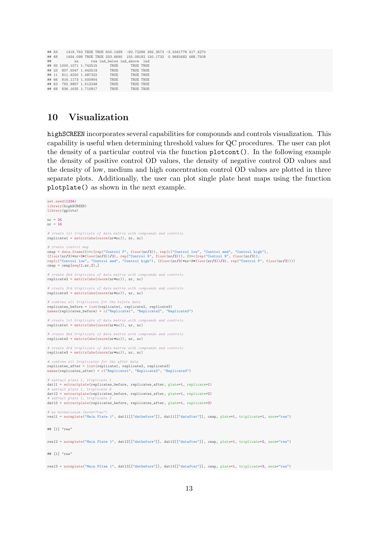|  |                         | ## 63 1419.763 TRUE TRUE 600.1499 -82.72286 292.3573 -3.5341778 517.4270 |           |  |  |
|--|-------------------------|--------------------------------------------------------------------------|-----------|--|--|
|  |                         | ## 68 1454.098 TRUE TRUE 333.6690 155.08182 150.1732 0.9683482 488.7508  |           |  |  |
|  |                         | ## sa rsa ind below ind above ind                                        |           |  |  |
|  |                         | ## 93 1000.1071 1.742515 TRUE                                            | TRUE TRUE |  |  |
|  |                         | ## 23 807.5047 1.443519 TRUE TRUE TRUE                                   |           |  |  |
|  | ## 11 811.4250 1.487322 | TRUE                                                                     | TRUE TRUE |  |  |
|  | ## 66 816.1173 1.500954 | TRUE                                                                     | TRUE TRUE |  |  |
|  | ## 63 782.9957 1.513248 | TRUE                                                                     | TRUE TRUE |  |  |
|  |                         | ## 68 836.1635 1.710817 TRUE                                             | TRUE TRUE |  |  |

#### 10 Visualization

highSCREEN incorporates several capabilities for compounds and controls visualization. This capability is useful when determining threshold values for QC procedures. The user can plot the density of a particular control via the function plotcont(). In the following example the density of positive control OD values, the density of negative control OD values and the density of low, medium and high concentration control OD values are plotted in three separate plots. Additionally, the user can plot single plate heat maps using the function plotplate() as shown in the next example.

```
set.seed(1234)
library(highSCREEN)
library(gplots)
nc = 24nr = 16
# create 1st triplicate of data matrix with compounds and controls
replicate1 = matrix(abs(rnorm(nr*nc)), nr, nc)
# create control map
cmap = data.frame(X1=c(rep("Control P", floor(nr/3)), rep(c("Control low", "Control med", "Control high"),<br>(floor(nr/3)+nr-3*floor(nr/3))/3), rep("Control N", floor(nr/3))), X2=c(rep("Control N", floor(nr/3)),<br>rep(c("Contr
map = \text{cmp}[\text{seq}(1,nr,2),]# create 2nd triplicate of data matrix with compounds and controls
replicate2 = matrix(abs(rnorm(nr*nc)), nr, nc)
# create 3rd triplicate of data matrix with compounds and controls
replicate3 = matrix(abs(rnorm(nr*nc)), nr, nc)
# combine all triplicates for the before data
replicates_before = list(replicate1, replicate2, replicate3)
names(replicates_before) = c("Replicate1", "Replicate2", "Replicate3")
# create 1st triplicate of data matrix with compounds and controls
replicate1 = matrix(abs(rnorm(nr*nc)), nr, nc)
# create 2nd triplicate of data matrix with compounds and controls
replicate2 = matrix(abs(rnorm(nr*nc)), nr, nc)
# create 3rd triplicate of data matrix with compounds and controls
replicate3 = matrix(abs(rnorm(nr*nc)), nr, nc)
       bine all triplicates for the after
replicates_after = list(replicate1, replicate2, replicate3)
names(replicates_after) = c("Replicate1", "Replicate2", "Replicate3")
# extract plate 1, triplicate
dat11 = extractplate(replicates_before, replicates_after, plate=1, replicate=1)
  extract plate
dat12 = extractplate(replicates_before, replicates_after, plate=1, replicate=2)
# extract plate 1, triplicate 3
dat13 = extractplate(replicates_before, replicates_after, plate=1, replicate=3)
# no normalizion (norm="raw")
res11 = normplate("Main Plate 1", dat11[["datbefore"]], dat11[["datafter"]], cmap, plate=1, triplicate=1, norm="raw")
## [1] "raw"
res12 = normplate("Main Plate 1", dat12[["datbefore"]], dat12[["datafter"]], cmap, plate=1, triplicate=2, norm="raw")
## [1] "raw"
res13 = normplate("Main Pltae 1", dat13[["datbefore"]], dat13[["datafter"]], cmap, plate=1, triplicate=3, norm="raw")
```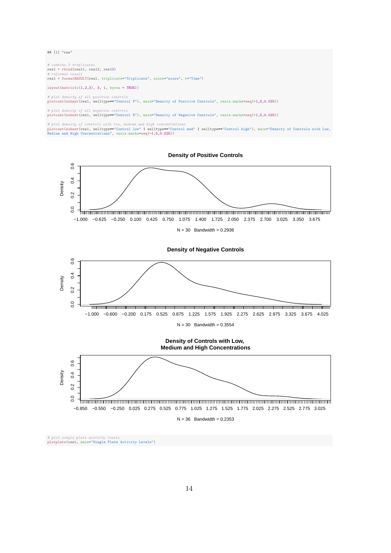## [1] "raw"

# combine 3 triplicates res1 = rbind(res11, res12, res13) # reformat result res1 = formatRESULT(res1, triplicate="Triplicate", score="score", t="Time")

 $\texttt{layout}(\texttt{matrix}(c(1,2,3)\, ,\ 3,\ 1,\ \texttt{byrow} \ = \ \texttt{TRUE}))$ 

# plot density of all positive controls plotcont(subset(res1, welltype=="Control P"), main="Density of Positive Controls", xaxis.marks=seq(-1,5,0.025))

# plot density of all negative controls

plotcont(subset(res1, welltype=="Control N"), main="Density of Negative Controls", xaxis.marks=seq(-1,5,0.025))

# plot density of controls with low, medium and high concentrations<br>plotcont(subset(res1, welltype=="Control low" | welltype=="Control med" | welltype=="Control high"), main="Density of Controls with Low,<br>Medium and High C

**Density of Positive Controls**



**Density of Negative Controls**



# plot single plate activity levels plotplate(res1, main="Single Plate Activity Levels")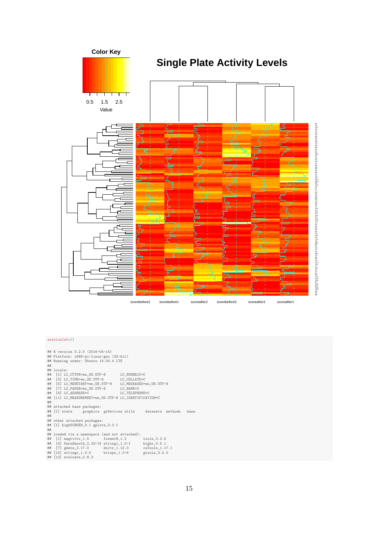

#### sessionInfo()

## R version 3.2.5 (2016-04-14) ## Platform: i686-pc-linux-gnu (32-bit) ## Running under: Ubuntu 14.04.4 LTS ##<br>## locale: ## locale:<br>
## [3] LC\_CTYPE=en\_US.UTF-8 LC\_NUMERIC=C<br>
## [3] LC\_MONETARY=en\_US.UTF-8 LC\_MESSAGES=en\_US.UTF-8<br>
## [5] LC\_PAPER=en\_US.UTF-8 LC\_NAME=C<br>
## [7] LC\_PAPER=en\_US.UTF-8 LC\_NAME=C<br>
## [9] LC\_ADDRESS=C LC\_TELEPHONE=C ## [11] LC\_MEASUREMENT=en\_US.UTF-8 LC\_IDENTIFICATION=C  $+$ ## attached base packages: ## [1] stats graphics grDevices utils datasets methods base ## ## other attached packages: ## [1] highSCREEN\_0.1 gplots\_3.0.1 ## ## loaded via a namespace (and not attached):<br>
## [1] magrittr\_1.5 formatR\_1.3 tools\_3.2.5<br>
## [4] KernSmooth\_2.23-15 stringi\_1.0-1 highr\_0.5.1<br>
## [7] gdata\_2.17.0 hnitr\_1.12.3 caTools\_1.17.1<br>
## [13] stringr\_1.0.0 bitops